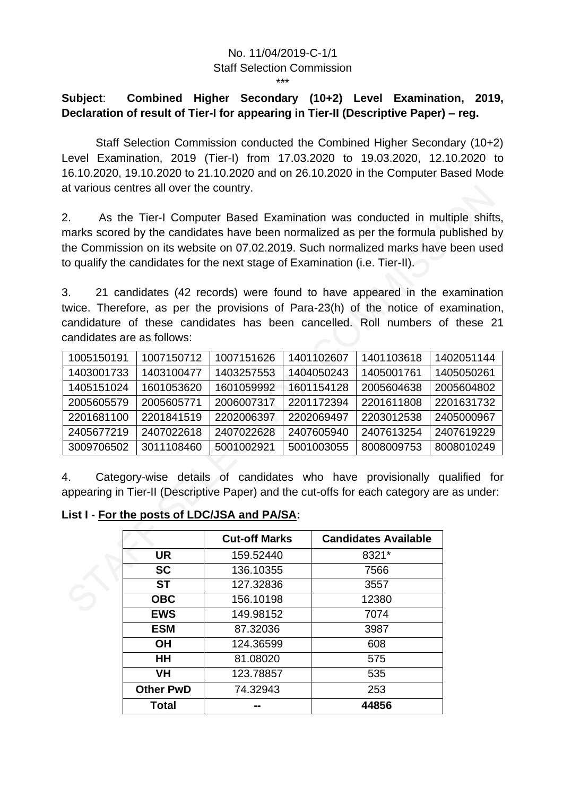## No. 11/04/2019-C-1/1 Staff Selection Commission

## **Subject**: **Combined Higher Secondary (10+2) Level Examination, 2019, Declaration of result of Tier-I for appearing in Tier-II (Descriptive Paper) – reg.**

\*\*\*

Staff Selection Commission conducted the Combined Higher Secondary (10+2) Level Examination, 2019 (Tier-I) from 17.03.2020 to 19.03.2020, 12.10.2020 to 16.10.2020, 19.10.2020 to 21.10.2020 and on 26.10.2020 in the Computer Based Mode at various centres all over the country.

2. As the Tier-I Computer Based Examination was conducted in multiple shifts, marks scored by the candidates have been normalized as per the formula published by the Commission on its website on 07.02.2019. Such normalized marks have been used to qualify the candidates for the next stage of Examination (i.e. Tier-II).

3. 21 candidates (42 records) were found to have appeared in the examination twice. Therefore, as per the provisions of Para-23(h) of the notice of examination, candidature of these candidates has been cancelled. Roll numbers of these 21 candidates are as follows:

| 1005150191 | 1007150712 | 1007151626 | 1401102607 | 1401103618 | 1402051144 |
|------------|------------|------------|------------|------------|------------|
| 1403001733 | 1403100477 | 1403257553 | 1404050243 | 1405001761 | 1405050261 |
| 1405151024 | 1601053620 | 1601059992 | 1601154128 | 2005604638 | 2005604802 |
| 2005605579 | 2005605771 | 2006007317 | 2201172394 | 2201611808 | 2201631732 |
| 2201681100 | 2201841519 | 2202006397 | 2202069497 | 2203012538 | 2405000967 |
| 2405677219 | 2407022618 | 2407022628 | 2407605940 | 2407613254 | 2407619229 |
| 3009706502 | 3011108460 | 5001002921 | 5001003055 | 8008009753 | 8008010249 |

4. Category-wise details of candidates who have provisionally qualified for appearing in Tier-II (Descriptive Paper) and the cut-offs for each category are as under:

**List I - For the posts of LDC/JSA and PA/SA:**

|                  | <b>Cut-off Marks</b> | <b>Candidates Available</b> |
|------------------|----------------------|-----------------------------|
| <b>UR</b>        | 159.52440            | 8321*                       |
| <b>SC</b>        | 136.10355            | 7566                        |
| <b>ST</b>        | 127.32836            | 3557                        |
| <b>OBC</b>       | 156.10198            | 12380                       |
| <b>EWS</b>       | 149.98152            | 7074                        |
| <b>ESM</b>       | 87.32036             | 3987                        |
| OН               | 124.36599            | 608                         |
| HН               | 81.08020             | 575                         |
| VH               | 123.78857            | 535                         |
| <b>Other PwD</b> | 74.32943             | 253                         |
| Total            |                      | 44856                       |